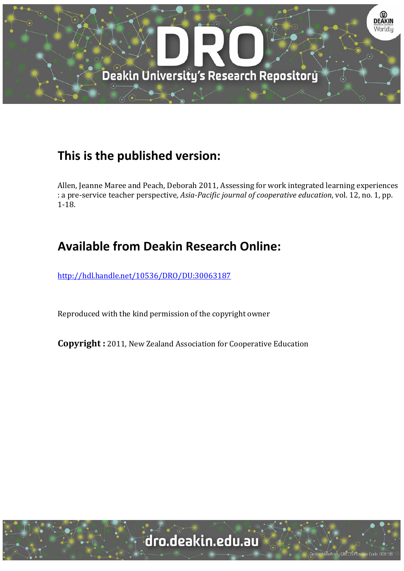

# **This is the published version:**

Allen, Jeanne Maree and Peach, Deborah 2011, Assessing for work integrated learning experiences : a pre‐service teacher perspective*, Asia‐Pacific journal of cooperative education*, vol. 12, no. 1, pp. 1‐18. 

# **Available from Deakin Research Online:**

http://hdl.handle.net/10536/DRO/DU:30063187

Reproduced with the kind permission of the copyright owner

**Copyright** : 2011, New Zealand Association for Cooperative Education

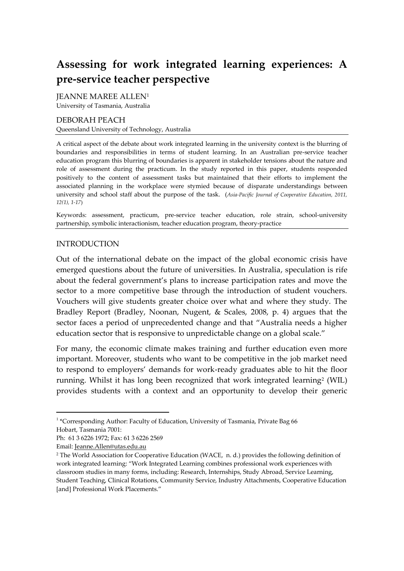# **Assessing for work integrated learning experiences: A pre-service teacher perspective**

JEANNE MAREE ALLEN<sup>1</sup> University of Tasmania, Australia

#### DEBORAH PEACH Queensland University of Technology, Australia

A critical aspect of the debate about work integrated learning in the university context is the blurring of boundaries and responsibilities in terms of student learning. In an Australian pre-service teacher education program this blurring of boundaries is apparent in stakeholder tensions about the nature and role of assessment during the practicum. In the study reported in this paper, students responded positively to the content of assessment tasks but maintained that their efforts to implement the associated planning in the workplace were stymied because of disparate understandings between university and school staff about the purpose of the task. (*Asia-Pacific Journal of Cooperative Education, 2011, 12(1), 1-17*)

Keywords: assessment, practicum, pre-service teacher education, role strain, school-university partnership, symbolic interactionism, teacher education program, theory-practice

#### INTRODUCTION

Out of the international debate on the impact of the global economic crisis have emerged questions about the future of universities. In Australia, speculation is rife about the federal government's plans to increase participation rates and move the sector to a more competitive base through the introduction of student vouchers. Vouchers will give students greater choice over what and where they study. The Bradley Report (Bradley, Noonan, Nugent, & Scales, 2008, p. 4) argues that the sector faces a period of unprecedented change and that 'Australia needs a higher education sector that is responsive to unpredictable change on a global scale."

For many, the economic climate makes training and further education even more important. Moreover, students who want to be competitive in the job market need to respond to employers' demands for work-ready graduates able to hit the floor running. Whilst it has long been recognized that work integrated learning<sup>2</sup> (WIL) provides students with a context and an opportunity to develop their generic

 $\overline{a}$ 

<sup>&</sup>lt;sup>1</sup> \*Corresponding Author: Faculty of Education, University of Tasmania, Private Bag 66 Hobart, Tasmania 7001:

Ph: 61 3 6226 1972; Fax: 61 3 6226 2569

Email: [Jeanne.Allen@utas.edu.au](mailto:jeanne.allen@utas.edu.au)

<sup>2</sup> The World Association for Cooperative Education (WACE, n. d.) provides the following definition of work integrated learning: 'Work Integrated Learning combines professional work experiences with classroom studies in many forms, including: Research, Internships, Study Abroad, Service Learning, Student Teaching, Clinical Rotations, Community Service, Industry Attachments, Cooperative Education [and] Professional Work Placements."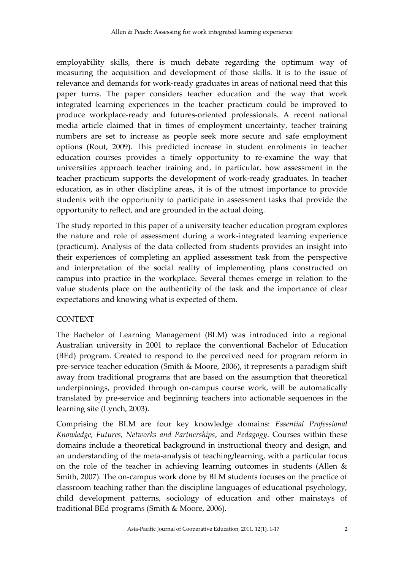employability skills, there is much debate regarding the optimum way of measuring the acquisition and development of those skills. It is to the issue of relevance and demands for work-ready graduates in areas of national need that this paper turns. The paper considers teacher education and the way that work integrated learning experiences in the teacher practicum could be improved to produce workplace-ready and futures-oriented professionals. A recent national media article claimed that in times of employment uncertainty, teacher training numbers are set to increase as people seek more secure and safe employment options (Rout, 2009). This predicted increase in student enrolments in teacher education courses provides a timely opportunity to re-examine the way that universities approach teacher training and, in particular, how assessment in the teacher practicum supports the development of work-ready graduates. In teacher education, as in other discipline areas, it is of the utmost importance to provide students with the opportunity to participate in assessment tasks that provide the opportunity to reflect, and are grounded in the actual doing.

The study reported in this paper of a university teacher education program explores the nature and role of assessment during a work-integrated learning experience (practicum). Analysis of the data collected from students provides an insight into their experiences of completing an applied assessment task from the perspective and interpretation of the social reality of implementing plans constructed on campus into practice in the workplace. Several themes emerge in relation to the value students place on the authenticity of the task and the importance of clear expectations and knowing what is expected of them.

# CONTEXT

The Bachelor of Learning Management (BLM) was introduced into a regional Australian university in 2001 to replace the conventional Bachelor of Education (BEd) program. Created to respond to the perceived need for program reform in pre-service teacher education (Smith & Moore, 2006), it represents a paradigm shift away from traditional programs that are based on the assumption that theoretical underpinnings, provided through on-campus course work, will be automatically translated by pre-service and beginning teachers into actionable sequences in the learning site (Lynch, 2003).

Comprising the BLM are four key knowledge domains: *Essential Professional Knowledge, Futures, Networks and Partnerships*, and *Pedagogy*. Courses within these domains include a theoretical background in instructional theory and design, and an understanding of the meta-analysis of teaching/learning, with a particular focus on the role of the teacher in achieving learning outcomes in students (Allen & Smith, 2007). The on-campus work done by BLM students focuses on the practice of classroom teaching rather than the discipline languages of educational psychology, child development patterns, sociology of education and other mainstays of traditional BEd programs (Smith & Moore, 2006).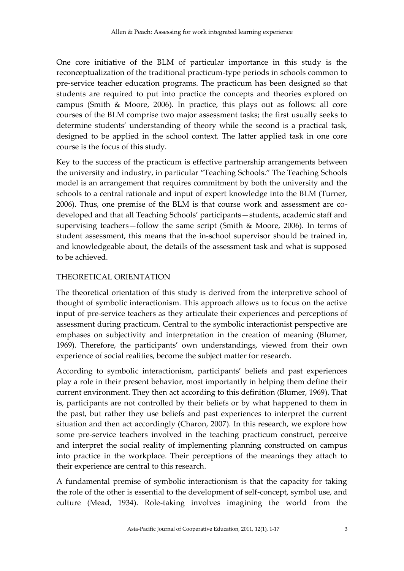One core initiative of the BLM of particular importance in this study is the reconceptualization of the traditional practicum-type periods in schools common to pre-service teacher education programs. The practicum has been designed so that students are required to put into practice the concepts and theories explored on campus (Smith & Moore, 2006). In practice, this plays out as follows: all core courses of the BLM comprise two major assessment tasks; the first usually seeks to determine students' understanding of theory while the second is a practical task, designed to be applied in the school context. The latter applied task in one core course is the focus of this study.

Key to the success of the practicum is effective partnership arrangements between the university and industry, in particular 'Teaching Schools.' The Teaching Schools model is an arrangement that requires commitment by both the university and the schools to a central rationale and input of expert knowledge into the BLM (Turner, 2006). Thus, one premise of the BLM is that course work and assessment are codeveloped and that all Teaching Schools' participants—students, academic staff and supervising teachers—follow the same script (Smith & Moore, 2006). In terms of student assessment, this means that the in-school supervisor should be trained in, and knowledgeable about, the details of the assessment task and what is supposed to be achieved.

#### THEORETICAL ORIENTATION

The theoretical orientation of this study is derived from the interpretive school of thought of symbolic interactionism. This approach allows us to focus on the active input of pre-service teachers as they articulate their experiences and perceptions of assessment during practicum. Central to the symbolic interactionist perspective are emphases on subjectivity and interpretation in the creation of meaning (Blumer, 1969). Therefore, the participants' own understandings, viewed from their own experience of social realities, become the subject matter for research.

According to symbolic interactionism, participants' beliefs and past experiences play a role in their present behavior, most importantly in helping them define their current environment. They then act according to this definition (Blumer, 1969). That is, participants are not controlled by their beliefs or by what happened to them in the past, but rather they use beliefs and past experiences to interpret the current situation and then act accordingly (Charon, 2007). In this research, we explore how some pre-service teachers involved in the teaching practicum construct, perceive and interpret the social reality of implementing planning constructed on campus into practice in the workplace. Their perceptions of the meanings they attach to their experience are central to this research.

A fundamental premise of symbolic interactionism is that the capacity for taking the role of the other is essential to the development of self-concept, symbol use, and culture (Mead, 1934). Role-taking involves imagining the world from the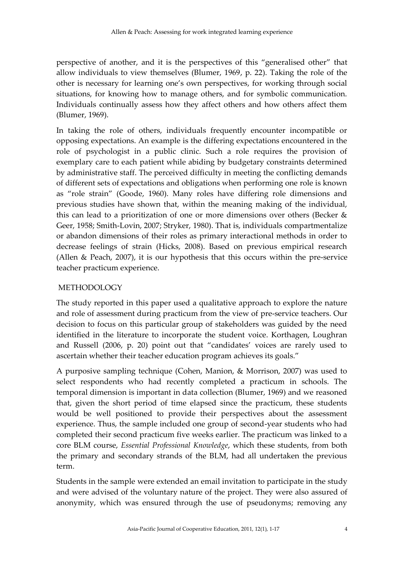perspective of another, and it is the perspectives of this 'generalised other' that allow individuals to view themselves (Blumer, 1969, p. 22). Taking the role of the other is necessary for learning one's own perspectives, for working through social situations, for knowing how to manage others, and for symbolic communication. Individuals continually assess how they affect others and how others affect them (Blumer, 1969).

In taking the role of others, individuals frequently encounter incompatible or opposing expectations. An example is the differing expectations encountered in the role of psychologist in a public clinic. Such a role requires the provision of exemplary care to each patient while abiding by budgetary constraints determined by administrative staff. The perceived difficulty in meeting the conflicting demands of different sets of expectations and obligations when performing one role is known as 'role strain' (Goode, 1960). Many roles have differing role dimensions and previous studies have shown that, within the meaning making of the individual, this can lead to a prioritization of one or more dimensions over others (Becker & Geer, 1958; Smith-Lovin, 2007; Stryker, 1980). That is, individuals compartmentalize or abandon dimensions of their roles as primary interactional methods in order to decrease feelings of strain (Hicks, 2008). Based on previous empirical research (Allen & Peach, 2007), it is our hypothesis that this occurs within the pre-service teacher practicum experience.

# **METHODOLOGY**

The study reported in this paper used a qualitative approach to explore the nature and role of assessment during practicum from the view of pre-service teachers. Our decision to focus on this particular group of stakeholders was guided by the need identified in the literature to incorporate the student voice. Korthagen, Loughran and Russell (2006, p. 20) point out that 'candidates' voices are rarely used to ascertain whether their teacher education program achieves its goals.'

A purposive sampling technique (Cohen, Manion, & Morrison, 2007) was used to select respondents who had recently completed a practicum in schools. The temporal dimension is important in data collection (Blumer, 1969) and we reasoned that, given the short period of time elapsed since the practicum, these students would be well positioned to provide their perspectives about the assessment experience. Thus, the sample included one group of second-year students who had completed their second practicum five weeks earlier. The practicum was linked to a core BLM course, *Essential Professional Knowledge*, which these students, from both the primary and secondary strands of the BLM, had all undertaken the previous term.

Students in the sample were extended an email invitation to participate in the study and were advised of the voluntary nature of the project. They were also assured of anonymity, which was ensured through the use of pseudonyms; removing any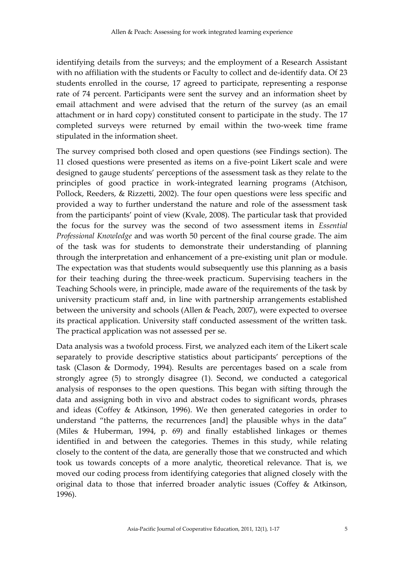identifying details from the surveys; and the employment of a Research Assistant with no affiliation with the students or Faculty to collect and de-identify data. Of 23 students enrolled in the course, 17 agreed to participate, representing a response rate of 74 percent. Participants were sent the survey and an information sheet by email attachment and were advised that the return of the survey (as an email attachment or in hard copy) constituted consent to participate in the study. The 17 completed surveys were returned by email within the two-week time frame stipulated in the information sheet.

The survey comprised both closed and open questions (see Findings section). The 11 closed questions were presented as items on a five-point Likert scale and were designed to gauge students' perceptions of the assessment task as they relate to the principles of good practice in work-integrated learning programs (Atchison, Pollock, Reeders, & Rizzetti, 2002). The four open questions were less specific and provided a way to further understand the nature and role of the assessment task from the participants' point of view (Kvale, 2008). The particular task that provided the focus for the survey was the second of two assessment items in *Essential Professional Knowledge* and was worth 50 percent of the final course grade. The aim of the task was for students to demonstrate their understanding of planning through the interpretation and enhancement of a pre-existing unit plan or module. The expectation was that students would subsequently use this planning as a basis for their teaching during the three-week practicum. Supervising teachers in the Teaching Schools were, in principle, made aware of the requirements of the task by university practicum staff and, in line with partnership arrangements established between the university and schools (Allen & Peach, 2007), were expected to oversee its practical application. University staff conducted assessment of the written task. The practical application was not assessed per se.

Data analysis was a twofold process. First, we analyzed each item of the Likert scale separately to provide descriptive statistics about participants' perceptions of the task (Clason & Dormody, 1994). Results are percentages based on a scale from strongly agree (5) to strongly disagree (1). Second, we conducted a categorical analysis of responses to the open questions. This began with sifting through the data and assigning both in vivo and abstract codes to significant words, phrases and ideas (Coffey & Atkinson, 1996). We then generated categories in order to understand "the patterns, the recurrences [and] the plausible whys in the data" (Miles & Huberman, 1994, p. 69) and finally established linkages or themes identified in and between the categories. Themes in this study, while relating closely to the content of the data, are generally those that we constructed and which took us towards concepts of a more analytic, theoretical relevance. That is, we moved our coding process from identifying categories that aligned closely with the original data to those that inferred broader analytic issues (Coffey & Atkinson, 1996).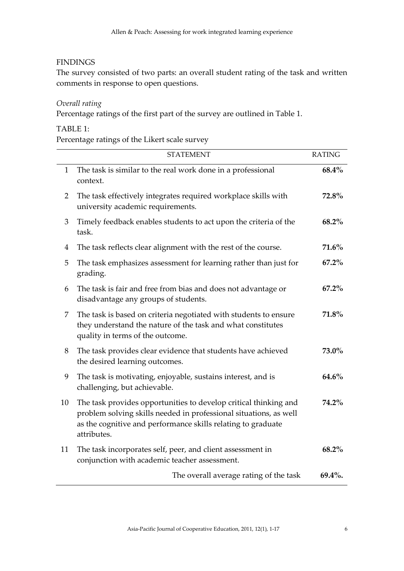# **FINDINGS**

The survey consisted of two parts: an overall student rating of the task and written comments in response to open questions.

#### *Overall rating*

Percentage ratings of the first part of the survey are outlined in Table 1.

# TABLE 1:

Percentage ratings of the Likert scale survey

|              | <b>STATEMENT</b>                                                                                                                                                                                                     | <b>RATING</b> |
|--------------|----------------------------------------------------------------------------------------------------------------------------------------------------------------------------------------------------------------------|---------------|
| $\mathbf{1}$ | The task is similar to the real work done in a professional<br>context.                                                                                                                                              | 68.4%         |
| 2            | The task effectively integrates required workplace skills with<br>university academic requirements.                                                                                                                  | 72.8%         |
| 3            | Timely feedback enables students to act upon the criteria of the<br>task.                                                                                                                                            | 68.2%         |
| 4            | The task reflects clear alignment with the rest of the course.                                                                                                                                                       | 71.6%         |
| 5            | The task emphasizes assessment for learning rather than just for<br>grading.                                                                                                                                         | 67.2%         |
| 6            | The task is fair and free from bias and does not advantage or<br>disadvantage any groups of students.                                                                                                                | $67.2\%$      |
| 7            | The task is based on criteria negotiated with students to ensure<br>they understand the nature of the task and what constitutes<br>quality in terms of the outcome.                                                  | 71.8%         |
| 8            | The task provides clear evidence that students have achieved<br>the desired learning outcomes.                                                                                                                       | 73.0%         |
| 9            | The task is motivating, enjoyable, sustains interest, and is<br>challenging, but achievable.                                                                                                                         | 64.6%         |
| 10           | The task provides opportunities to develop critical thinking and<br>problem solving skills needed in professional situations, as well<br>as the cognitive and performance skills relating to graduate<br>attributes. | 74.2%         |
| 11           | The task incorporates self, peer, and client assessment in<br>conjunction with academic teacher assessment.                                                                                                          | 68.2%         |
|              | The overall average rating of the task                                                                                                                                                                               | 69.4%.        |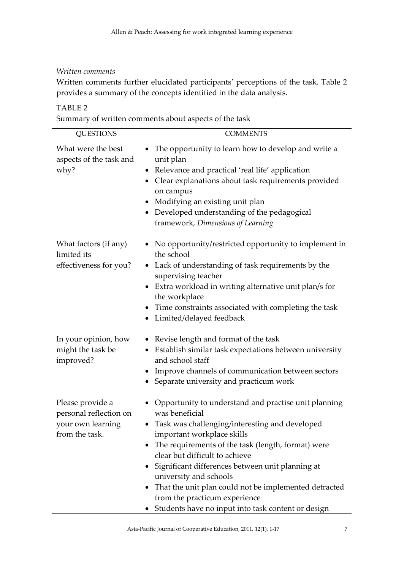#### *Written comments*

Written comments further elucidated participants' perceptions of the task. Table 2 provides a summary of the concepts identified in the data analysis.

# TABLE 2

Summary of written comments about aspects of the task

| <b>QUESTIONS</b>                                                                  | <b>COMMENTS</b>                                                                                                                                                                                                                                                                                                                                                                                                                                                                      |
|-----------------------------------------------------------------------------------|--------------------------------------------------------------------------------------------------------------------------------------------------------------------------------------------------------------------------------------------------------------------------------------------------------------------------------------------------------------------------------------------------------------------------------------------------------------------------------------|
| What were the best<br>aspects of the task and<br>why?                             | The opportunity to learn how to develop and write a<br>$\bullet$<br>unit plan<br>• Relevance and practical 'real life' application<br>• Clear explanations about task requirements provided<br>on campus<br>• Modifying an existing unit plan<br>• Developed understanding of the pedagogical<br>framework, Dimensions of Learning                                                                                                                                                   |
| What factors (if any)<br>limited its<br>effectiveness for you?                    | • No opportunity/restricted opportunity to implement in<br>the school<br>• Lack of understanding of task requirements by the<br>supervising teacher<br>Extra workload in writing alternative unit plan/s for<br>the workplace<br>Time constraints associated with completing the task<br>• Limited/delayed feedback                                                                                                                                                                  |
| In your opinion, how<br>might the task be<br>improved?                            | • Revise length and format of the task<br>• Establish similar task expectations between university<br>and school staff<br>Improve channels of communication between sectors<br>Separate university and practicum work                                                                                                                                                                                                                                                                |
| Please provide a<br>personal reflection on<br>your own learning<br>from the task. | • Opportunity to understand and practise unit planning<br>was beneficial<br>• Task was challenging/interesting and developed<br>important workplace skills<br>• The requirements of the task (length, format) were<br>clear but difficult to achieve<br>• Significant differences between unit planning at<br>university and schools<br>That the unit plan could not be implemented detracted<br>from the practicum experience<br>Students have no input into task content or design |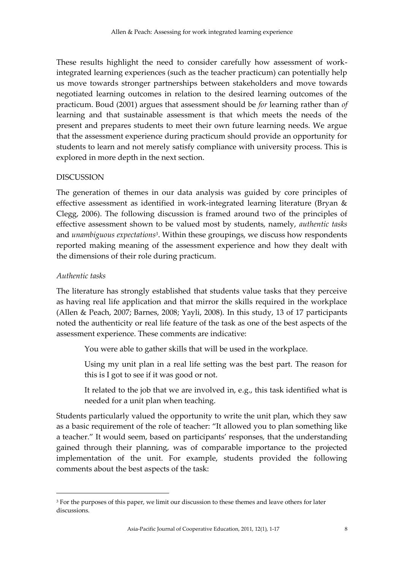These results highlight the need to consider carefully how assessment of workintegrated learning experiences (such as the teacher practicum) can potentially help us move towards stronger partnerships between stakeholders and move towards negotiated learning outcomes in relation to the desired learning outcomes of the practicum. Boud (2001) argues that assessment should be *for* learning rather than *of*  learning and that sustainable assessment is that which meets the needs of the present and prepares students to meet their own future learning needs. We argue that the assessment experience during practicum should provide an opportunity for students to learn and not merely satisfy compliance with university process. This is explored in more depth in the next section.

#### DISCUSSION

The generation of themes in our data analysis was guided by core principles of effective assessment as identified in work-integrated learning literature (Bryan & Clegg, 2006). The following discussion is framed around two of the principles of effective assessment shown to be valued most by students, namely, *authentic tasks* and *unambiguous expectations 3* . Within these groupings, we discuss how respondents reported making meaning of the assessment experience and how they dealt with the dimensions of their role during practicum.

#### *Authentic tasks*

 $\overline{a}$ 

The literature has strongly established that students value tasks that they perceive as having real life application and that mirror the skills required in the workplace (Allen & Peach, 2007; Barnes, 2008; Yayli, 2008). In this study, 13 of 17 participants noted the authenticity or real life feature of the task as one of the best aspects of the assessment experience. These comments are indicative:

You were able to gather skills that will be used in the workplace.

Using my unit plan in a real life setting was the best part. The reason for this is I got to see if it was good or not.

It related to the job that we are involved in, e.g., this task identified what is needed for a unit plan when teaching.

Students particularly valued the opportunity to write the unit plan, which they saw as a basic requirement of the role of teacher: 'It allowed you to plan something like a teacher.' It would seem, based on participants' responses, that the understanding gained through their planning, was of comparable importance to the projected implementation of the unit. For example, students provided the following comments about the best aspects of the task:

<sup>&</sup>lt;sup>3</sup> For the purposes of this paper, we limit our discussion to these themes and leave others for later discussions.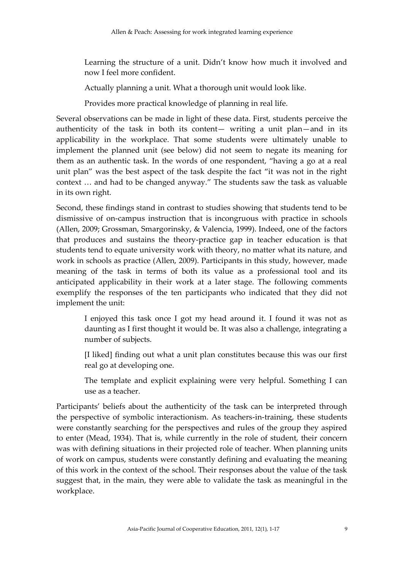Learning the structure of a unit. Didn't know how much it involved and now I feel more confident.

Actually planning a unit. What a thorough unit would look like.

Provides more practical knowledge of planning in real life.

Several observations can be made in light of these data. First, students perceive the authenticity of the task in both its content— writing a unit plan—and in its applicability in the workplace. That some students were ultimately unable to implement the planned unit (see below) did not seem to negate its meaning for them as an authentic task. In the words of one respondent, 'having a go at a real unit plan' was the best aspect of the task despite the fact 'it was not in the right context … and had to be changed anyway.' The students saw the task as valuable in its own right.

Second, these findings stand in contrast to studies showing that students tend to be dismissive of on-campus instruction that is incongruous with practice in schools (Allen, 2009; Grossman, Smargorinsky, & Valencia, 1999). Indeed, one of the factors that produces and sustains the theory-practice gap in teacher education is that students tend to equate university work with theory, no matter what its nature, and work in schools as practice (Allen, 2009). Participants in this study, however, made meaning of the task in terms of both its value as a professional tool and its anticipated applicability in their work at a later stage. The following comments exemplify the responses of the ten participants who indicated that they did not implement the unit:

I enjoyed this task once I got my head around it. I found it was not as daunting as I first thought it would be. It was also a challenge, integrating a number of subjects.

[I liked] finding out what a unit plan constitutes because this was our first real go at developing one.

The template and explicit explaining were very helpful. Something I can use as a teacher.

Participants' beliefs about the authenticity of the task can be interpreted through the perspective of symbolic interactionism. As teachers-in-training, these students were constantly searching for the perspectives and rules of the group they aspired to enter (Mead, 1934). That is, while currently in the role of student, their concern was with defining situations in their projected role of teacher. When planning units of work on campus, students were constantly defining and evaluating the meaning of this work in the context of the school. Their responses about the value of the task suggest that, in the main, they were able to validate the task as meaningful in the workplace.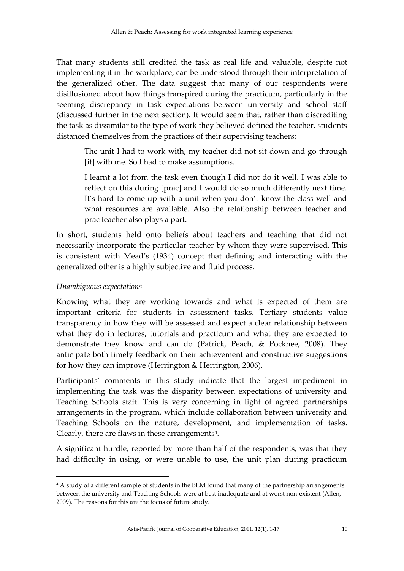That many students still credited the task as real life and valuable, despite not implementing it in the workplace, can be understood through their interpretation of the generalized other. The data suggest that many of our respondents were disillusioned about how things transpired during the practicum, particularly in the seeming discrepancy in task expectations between university and school staff (discussed further in the next section). It would seem that, rather than discrediting the task as dissimilar to the type of work they believed defined the teacher, students distanced themselves from the practices of their supervising teachers:

The unit I had to work with, my teacher did not sit down and go through [it] with me. So I had to make assumptions.

I learnt a lot from the task even though I did not do it well. I was able to reflect on this during [prac] and I would do so much differently next time. It's hard to come up with a unit when you don't know the class well and what resources are available. Also the relationship between teacher and prac teacher also plays a part.

In short, students held onto beliefs about teachers and teaching that did not necessarily incorporate the particular teacher by whom they were supervised. This is consistent with Mead's (1934) concept that defining and interacting with the generalized other is a highly subjective and fluid process.

# *Unambiguous expectations*

 $\overline{a}$ 

Knowing what they are working towards and what is expected of them are important criteria for students in assessment tasks. Tertiary students value transparency in how they will be assessed and expect a clear relationship between what they do in lectures, tutorials and practicum and what they are expected to demonstrate they know and can do (Patrick, Peach, & Pocknee, 2008). They anticipate both timely feedback on their achievement and constructive suggestions for how they can improve (Herrington & Herrington, 2006).

Participants' comments in this study indicate that the largest impediment in implementing the task was the disparity between expectations of university and Teaching Schools staff. This is very concerning in light of agreed partnerships arrangements in the program, which include collaboration between university and Teaching Schools on the nature, development, and implementation of tasks. Clearly, there are flaws in these arrangements $4$ .

A significant hurdle, reported by more than half of the respondents, was that they had difficulty in using, or were unable to use, the unit plan during practicum

<sup>4</sup> A study of a different sample of students in the BLM found that many of the partnership arrangements between the university and Teaching Schools were at best inadequate and at worst non-existent (Allen, 2009). The reasons for this are the focus of future study.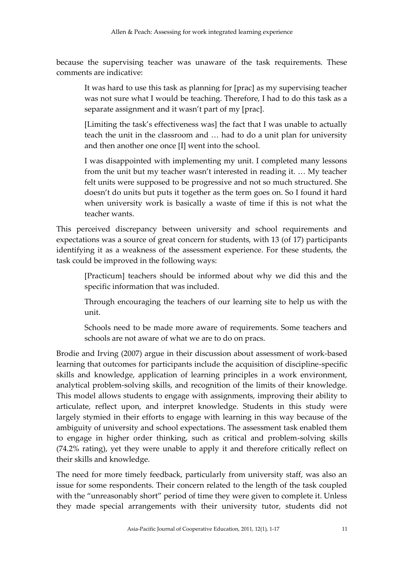because the supervising teacher was unaware of the task requirements. These comments are indicative:

It was hard to use this task as planning for [prac] as my supervising teacher was not sure what I would be teaching. Therefore, I had to do this task as a separate assignment and it wasn't part of my [prac].

[Limiting the task's effectiveness was] the fact that I was unable to actually teach the unit in the classroom and … had to do a unit plan for university and then another one once [I] went into the school.

I was disappointed with implementing my unit. I completed many lessons from the unit but my teacher wasn't interested in reading it. … My teacher felt units were supposed to be progressive and not so much structured. She doesn't do units but puts it together as the term goes on. So I found it hard when university work is basically a waste of time if this is not what the teacher wants.

This perceived discrepancy between university and school requirements and expectations was a source of great concern for students, with 13 (of 17) participants identifying it as a weakness of the assessment experience. For these students, the task could be improved in the following ways:

[Practicum] teachers should be informed about why we did this and the specific information that was included.

Through encouraging the teachers of our learning site to help us with the unit.

Schools need to be made more aware of requirements. Some teachers and schools are not aware of what we are to do on pracs.

Brodie and Irving (2007) argue in their discussion about assessment of work-based learning that outcomes for participants include the acquisition of discipline-specific skills and knowledge, application of learning principles in a work environment, analytical problem-solving skills, and recognition of the limits of their knowledge. This model allows students to engage with assignments, improving their ability to articulate, reflect upon, and interpret knowledge. Students in this study were largely stymied in their efforts to engage with learning in this way because of the ambiguity of university and school expectations. The assessment task enabled them to engage in higher order thinking, such as critical and problem-solving skills (74.2% rating), yet they were unable to apply it and therefore critically reflect on their skills and knowledge.

The need for more timely feedback, particularly from university staff, was also an issue for some respondents. Their concern related to the length of the task coupled with the 'unreasonably short' period of time they were given to complete it. Unless they made special arrangements with their university tutor, students did not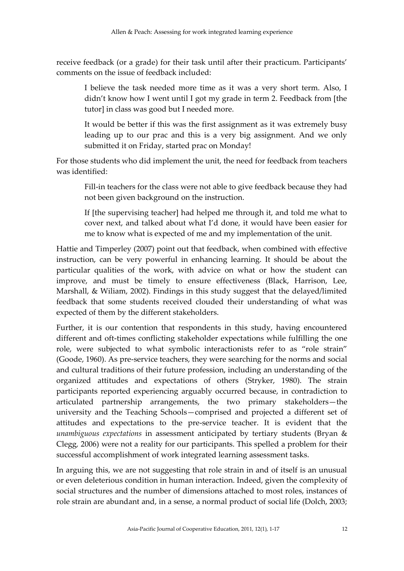receive feedback (or a grade) for their task until after their practicum. Participants' comments on the issue of feedback included:

I believe the task needed more time as it was a very short term. Also, I didn't know how I went until I got my grade in term 2. Feedback from [the tutor] in class was good but I needed more.

It would be better if this was the first assignment as it was extremely busy leading up to our prac and this is a very big assignment. And we only submitted it on Friday, started prac on Monday!

For those students who did implement the unit, the need for feedback from teachers was identified:

Fill-in teachers for the class were not able to give feedback because they had not been given background on the instruction.

If [the supervising teacher] had helped me through it, and told me what to cover next, and talked about what I'd done, it would have been easier for me to know what is expected of me and my implementation of the unit.

Hattie and Timperley (2007) point out that feedback, when combined with effective instruction, can be very powerful in enhancing learning. It should be about the particular qualities of the work, with advice on what or how the student can improve, and must be timely to ensure effectiveness (Black, Harrison, Lee, Marshall, & Wiliam, 2002). Findings in this study suggest that the delayed/limited feedback that some students received clouded their understanding of what was expected of them by the different stakeholders.

Further, it is our contention that respondents in this study, having encountered different and oft-times conflicting stakeholder expectations while fulfilling the one role, were subjected to what symbolic interactionists refer to as 'role strain' (Goode, 1960). As pre-service teachers, they were searching for the norms and social and cultural traditions of their future profession, including an understanding of the organized attitudes and expectations of others (Stryker, 1980). The strain participants reported experiencing arguably occurred because, in contradiction to articulated partnership arrangements, the two primary stakeholders—the university and the Teaching Schools—comprised and projected a different set of attitudes and expectations to the pre-service teacher. It is evident that the *unambiguous expectations* in assessment anticipated by tertiary students (Bryan & Clegg*,* 2006) were not a reality for our participants. This spelled a problem for their successful accomplishment of work integrated learning assessment tasks.

In arguing this, we are not suggesting that role strain in and of itself is an unusual or even deleterious condition in human interaction. Indeed, given the complexity of social structures and the number of dimensions attached to most roles, instances of role strain are abundant and, in a sense, a normal product of social life (Dolch, 2003;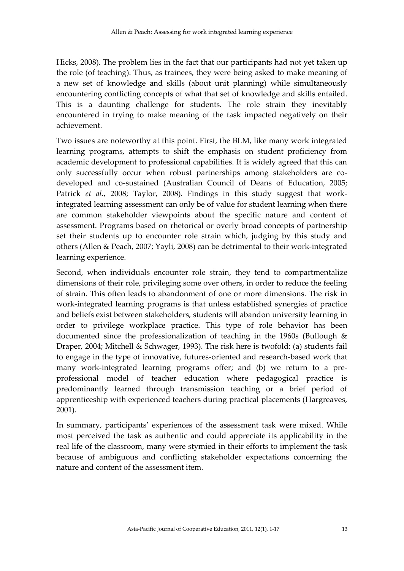Hicks, 2008). The problem lies in the fact that our participants had not yet taken up the role (of teaching). Thus, as trainees, they were being asked to make meaning of a new set of knowledge and skills (about unit planning) while simultaneously encountering conflicting concepts of what that set of knowledge and skills entailed. This is a daunting challenge for students. The role strain they inevitably encountered in trying to make meaning of the task impacted negatively on their achievement.

Two issues are noteworthy at this point. First, the BLM, like many work integrated learning programs, attempts to shift the emphasis on student proficiency from academic development to professional capabilities. It is widely agreed that this can only successfully occur when robust partnerships among stakeholders are codeveloped and co-sustained (Australian Council of Deans of Education, 2005; Patrick *et al*., 2008; Taylor, 2008). Findings in this study suggest that workintegrated learning assessment can only be of value for student learning when there are common stakeholder viewpoints about the specific nature and content of assessment. Programs based on rhetorical or overly broad concepts of partnership set their students up to encounter role strain which, judging by this study and others (Allen & Peach, 2007; Yayli, 2008) can be detrimental to their work-integrated learning experience.

Second, when individuals encounter role strain, they tend to compartmentalize dimensions of their role, privileging some over others, in order to reduce the feeling of strain. This often leads to abandonment of one or more dimensions. The risk in work-integrated learning programs is that unless established synergies of practice and beliefs exist between stakeholders, students will abandon university learning in order to privilege workplace practice. This type of role behavior has been documented since the professionalization of teaching in the 1960s (Bullough & Draper, 2004; Mitchell & Schwager, 1993). The risk here is twofold: (a) students fail to engage in the type of innovative, futures-oriented and research-based work that many work-integrated learning programs offer; and (b) we return to a preprofessional model of teacher education where pedagogical practice is predominantly learned through transmission teaching or a brief period of apprenticeship with experienced teachers during practical placements (Hargreaves, 2001).

In summary, participants' experiences of the assessment task were mixed. While most perceived the task as authentic and could appreciate its applicability in the real life of the classroom, many were stymied in their efforts to implement the task because of ambiguous and conflicting stakeholder expectations concerning the nature and content of the assessment item.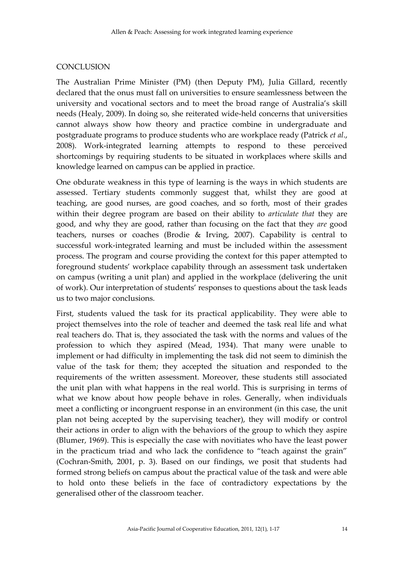#### **CONCLUSION**

The Australian Prime Minister (PM) (then Deputy PM), Julia Gillard, recently declared that the onus must fall on universities to ensure seamlessness between the university and vocational sectors and to meet the broad range of Australia's skill needs (Healy, 2009). In doing so, she reiterated wide-held concerns that universities cannot always show how theory and practice combine in undergraduate and postgraduate programs to produce students who are workplace ready (Patrick *et al*., 2008). Work-integrated learning attempts to respond to these perceived shortcomings by requiring students to be situated in workplaces where skills and knowledge learned on campus can be applied in practice.

One obdurate weakness in this type of learning is the ways in which students are assessed. Tertiary students commonly suggest that, whilst they are good at teaching, are good nurses, are good coaches, and so forth, most of their grades within their degree program are based on their ability to *articulate that* they are good, and why they are good, rather than focusing on the fact that they *are* good teachers, nurses or coaches (Brodie & Irving, 2007). Capability is central to successful work-integrated learning and must be included within the assessment process. The program and course providing the context for this paper attempted to foreground students' workplace capability through an assessment task undertaken on campus (writing a unit plan) and applied in the workplace (delivering the unit of work). Our interpretation of students' responses to questions about the task leads us to two major conclusions.

First, students valued the task for its practical applicability. They were able to project themselves into the role of teacher and deemed the task real life and what real teachers do. That is, they associated the task with the norms and values of the profession to which they aspired (Mead, 1934). That many were unable to implement or had difficulty in implementing the task did not seem to diminish the value of the task for them; they accepted the situation and responded to the requirements of the written assessment. Moreover, these students still associated the unit plan with what happens in the real world. This is surprising in terms of what we know about how people behave in roles. Generally, when individuals meet a conflicting or incongruent response in an environment (in this case, the unit plan not being accepted by the supervising teacher), they will modify or control their actions in order to align with the behaviors of the group to which they aspire (Blumer, 1969). This is especially the case with novitiates who have the least power in the practicum triad and who lack the confidence to "teach against the grain" (Cochran-Smith, 2001, p. 3). Based on our findings, we posit that students had formed strong beliefs on campus about the practical value of the task and were able to hold onto these beliefs in the face of contradictory expectations by the generalised other of the classroom teacher.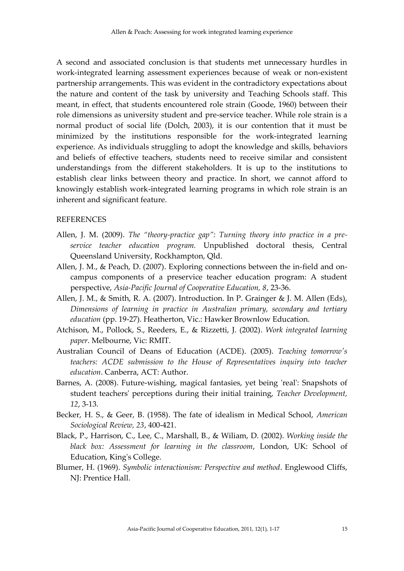A second and associated conclusion is that students met unnecessary hurdles in work-integrated learning assessment experiences because of weak or non-existent partnership arrangements. This was evident in the contradictory expectations about the nature and content of the task by university and Teaching Schools staff. This meant, in effect, that students encountered role strain (Goode, 1960) between their role dimensions as university student and pre-service teacher. While role strain is a normal product of social life (Dolch, 2003), it is our contention that it must be minimized by the institutions responsible for the work-integrated learning experience. As individuals struggling to adopt the knowledge and skills, behaviors and beliefs of effective teachers, students need to receive similar and consistent understandings from the different stakeholders. It is up to the institutions to establish clear links between theory and practice. In short, we cannot afford to knowingly establish work-integrated learning programs in which role strain is an inherent and significant feature.

#### **REFERENCES**

- Allen, J. M. (2009). *The "theory-practice gap": Turning theory into practice in a preservice teacher education program.* Unpublished doctoral thesis, Central Queensland University, Rockhampton, Qld.
- Allen, J. M., & Peach, D. (2007). Exploring connections between the in-field and oncampus components of a preservice teacher education program: A student perspective, *Asia-Pacific Journal of Cooperative Education, 8*, 23-36.
- Allen, J. M., & Smith, R. A. (2007). Introduction. In P. Grainger & J. M. Allen (Eds), *Dimensions of learning in practice in Australian primary, secondary and tertiary education* (pp. 19-27). Heatherton, Vic.: Hawker Brownlow Education.
- Atchison, M., Pollock, S., Reeders, E., & Rizzetti, J. (2002). *Work integrated learning paper*. Melbourne, Vic: RMIT.
- Australian Council of Deans of Education (ACDE). (2005). *Teaching tomorrow's teachers: ACDE submission to the House of Representatives inquiry into teacher education*. Canberra, ACT: Author.
- Barnes, A. (2008). Future-wishing, magical fantasies, yet being 'real': Snapshots of student teachers' perceptions during their initial training, *Teacher Development, 12*, 3-13.
- Becker, H. S., & Geer, B. (1958). The fate of idealism in Medical School, *American Sociological Review, 23*, 400-421.
- Black, P., Harrison, C., Lee, C., Marshall, B., & Wiliam, D. (2002). *Working inside the black box: Assessment for learning in the classroom*, London, UK: School of Education, King's College.
- Blumer, H. (1969). *Symbolic interactionism: Perspective and method*. Englewood Cliffs, NJ: Prentice Hall.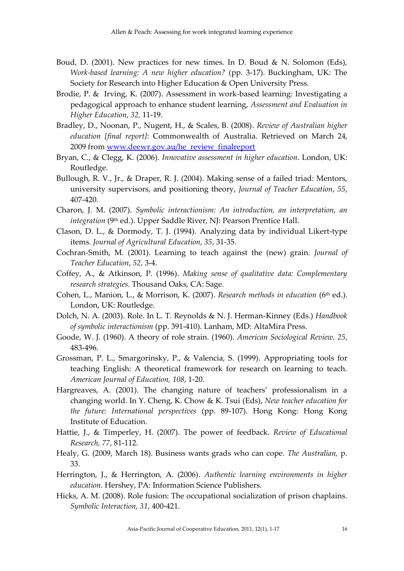- Boud, D. (2001). New practices for new times. In D. Boud & N. Solomon (Eds), *Work-based learning: A new higher education?* (pp. 3-17). Buckingham, UK: The Society for Research into Higher Education & Open University Press.
- Brodie, P. & Irving, K. (2007). Assessment in work-based learning: Investigating a pedagogical approach to enhance student learning, *Assessment and Evaluation in Higher Education*, *32,* 11-19.
- Bradley, D., Noonan, P., Nugent, H., & Scales, B. (2008). *Review of Australian higher education [final report]*: Commonwealth of Australia. Retrieved on March 24, 2009 fro[m www.deewr.gov.au/he\\_review\\_finalreport](http://www.deewr.gov.au/he_review_finalreport)
- Bryan, C., & Clegg, K. (2006). *Innovative assessment in higher education*. London, UK: Routledge.
- Bullough, R. V., Jr., & Draper, R. J. (2004). Making sense of a failed triad: Mentors, university supervisors, and positioning theory, *Journal of Teacher Education*, *55*, 407-420.
- Charon, J. M. (2007). *Symbolic interactionism: An introduction, an interpretation, an integration* (9<sup>th</sup> ed.). Upper Saddle River, NJ: Pearson Prentice Hall.
- Clason, D. L., & Dormody, T. J. (1994). Analyzing data by individual Likert-type items. *Journal of Agricultural Education, 35*, 31-35.
- Cochran-Smith, M. (2001). Learning to teach against the (new) grain. *Journal of Teacher Education*, *52*, 3-4.
- Coffey, A., & Atkinson, P. (1996). *Making sense of qualitative data: Complementary research strategies*. Thousand Oaks, CA: Sage.
- Cohen, L., Manion, L., & Morrison, K. (2007). *Research methods in education* (6th ed.). London, UK: Routledge.
- Dolch, N. A. (2003). Role. In L. T. Reynolds & N. J. Herman-Kinney (Eds.) *Handbook of symbolic interactionism* (pp. 391-410). Lanham, MD: AltaMira Press.
- Goode, W. J. (1960). A theory of role strain. (1960). *American Sociological Review, 25*, 483-496.
- Grossman, P. L., Smargorinsky, P., & Valencia, S. (1999). Appropriating tools for teaching English: A theoretical framework for research on learning to teach. *American Journal of Education, 108*, 1-20.
- Hargreaves, A. (2001). The changing nature of teachers' professionalism in a changing world. In Y. Cheng, K. Chow & K. Tsui (Eds), *New teacher education for the future: International perspectives* (pp. 89-107). Hong Kong: Hong Kong Institute of Education.
- Hattie, J., & Timperley, H. (2007). The power of feedback. *Review of Educational Research, 77*, 81-112.
- Healy, G. (2009, March 18). Business wants grads who can cope*. The Australian,* p. 33.
- Herrington, J., & Herrington, A. (2006). *Authentic learning environments in higher education*. Hershey, PA: Information Science Publishers.
- Hicks, A. M. (2008). Role fusion: The occupational socialization of prison chaplains. *Symbolic Interaction, 31*, 400-421.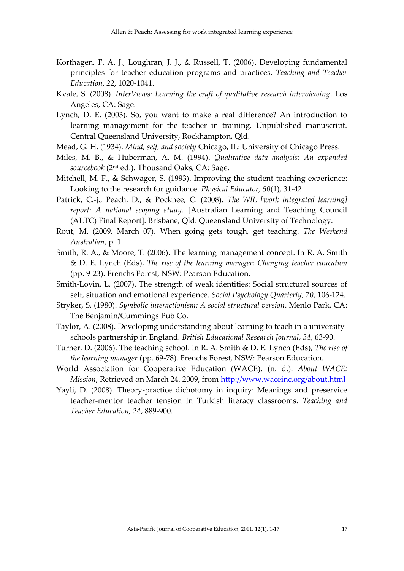- Korthagen, F. A. J., Loughran, J. J., & Russell, T. (2006). Developing fundamental principles for teacher education programs and practices. *Teaching and Teacher Education*, *22*, 1020-1041.
- Kvale, S. (2008). *InterViews: Learning the craft of qualitative research interviewing*. Los Angeles, CA: Sage.
- Lynch, D. E. (2003). So, you want to make a real difference? An introduction to learning management for the teacher in training. Unpublished manuscript. Central Queensland University, Rockhampton, Qld.
- Mead, G. H. (1934). *Mind, self, and society* Chicago, IL: University of Chicago Press.
- Miles, M. B., & Huberman, A. M. (1994). *Qualitative data analysis: An expanded sourcebook* (2nd ed.). Thousand Oaks, CA: Sage.
- Mitchell, M. F., & Schwager, S. (1993). Improving the student teaching experience: Looking to the research for guidance. *Physical Educator, 50*(1), 31-42.
- Patrick, C.-j., Peach, D., & Pocknee, C. (2008). *The WIL [work integrated learning] report: A national scoping study*. [Australian Learning and Teaching Council (ALTC) Final Report]. Brisbane, Qld: Queensland University of Technology.
- Rout, M. (2009, March 07). When going gets tough, get teaching. *The Weekend Australian*, p. 1.
- Smith, R. A., & Moore, T. (2006). The learning management concept. In R. A. Smith & D. E. Lynch (Eds), *The rise of the learning manager: Changing teacher education* (pp. 9-23). Frenchs Forest, NSW: Pearson Education.
- Smith-Lovin, L. (2007). The strength of weak identities: Social structural sources of self, situation and emotional experience. *Social Psychology Quarterly, 70*, 106-124.
- Stryker, S. (1980). *Symbolic interactionism: A social structural version*. Menlo Park, CA: The Benjamin/Cummings Pub Co.
- Taylor, A. (2008). Developing understanding about learning to teach in a universityschools partnership in England. *British Educational Research Journal*, *34*, 63-90.
- Turner, D. (2006). The teaching school. In R. A. Smith & D. E. Lynch (Eds), *The rise of the learning manager* (pp. 69-78). Frenchs Forest, NSW: Pearson Education.
- World Association for Cooperative Education (WACE). (n. d.). *About WACE: Mission*, Retrieved on March 24, 2009, from<http://www.waceinc.org/about.html>
- Yayli, D. (2008). Theory-practice dichotomy in inquiry: Meanings and preservice teacher-mentor teacher tension in Turkish literacy classrooms. *Teaching and Teacher Education, 24*, 889-900.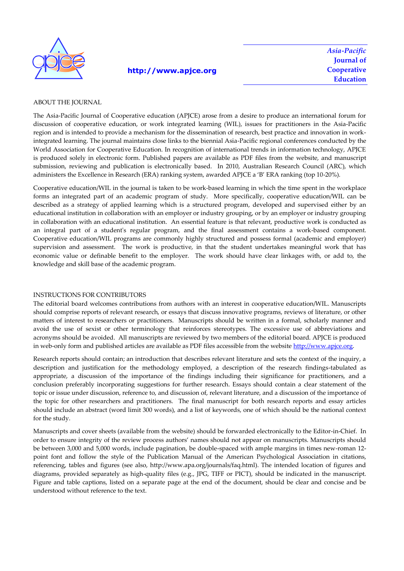

#### **http://www.apjce.org**

*Asia-Pacific* **Journal of Cooperative Education**

#### ABOUT THE JOURNAL

The Asia-Pacific Journal of Cooperative education (APJCE) arose from a desire to produce an international forum for discussion of cooperative education, or work integrated learning (WIL), issues for practitioners in the Asia-Pacific region and is intended to provide a mechanism for the dissemination of research, best practice and innovation in workintegrated learning. The journal maintains close links to the biennial Asia-Pacific regional conferences conducted by the World Association for Cooperative Education. In recognition of international trends in information technology, APJCE is produced solely in electronic form. Published papers are available as PDF files from the website, and manuscript submission, reviewing and publication is electronically based. In 2010, Australian Research Council (ARC), which administers the Excellence in Research (ERA) ranking system, awarded APJCE a 'B' ERA ranking (top 10-20%).

Cooperative education/WIL in the journal is taken to be work-based learning in which the time spent in the workplace forms an integrated part of an academic program of study. More specifically, cooperative education/WIL can be described as a strategy of applied learning which is a structured program, developed and supervised either by an educational institution in collaboration with an employer or industry grouping, or by an employer or industry grouping in collaboration with an educational institution. An essential feature is that relevant, productive work is conducted as an integral part of a student's regular program, and the final assessment contains a work-based component. Cooperative education/WIL programs are commonly highly structured and possess formal (academic and employer) supervision and assessment. The work is productive, in that the student undertakes meaningful work that has economic value or definable benefit to the employer. The work should have clear linkages with, or add to, the knowledge and skill base of the academic program.

#### INSTRUCTIONS FOR CONTRIBUTORS

The editorial board welcomes contributions from authors with an interest in cooperative education/WIL. Manuscripts should comprise reports of relevant research, or essays that discuss innovative programs, reviews of literature, or other matters of interest to researchers or practitioners. Manuscripts should be written in a formal, scholarly manner and avoid the use of sexist or other terminology that reinforces stereotypes. The excessive use of abbreviations and acronyms should be avoided. All manuscripts are reviewed by two members of the editorial board. APJCE is produced in web-only form and published articles are available as PDF files accessible from the website http://www.apjce.org.

Research reports should contain; an introduction that describes relevant literature and sets the context of the inquiry, a description and justification for the methodology employed, a description of the research findings-tabulated as appropriate, a discussion of the importance of the findings including their significance for practitioners, and a conclusion preferably incorporating suggestions for further research. Essays should contain a clear statement of the topic or issue under discussion, reference to, and discussion of, relevant literature, and a discussion of the importance of the topic for other researchers and practitioners. The final manuscript for both research reports and essay articles should include an abstract (word limit 300 words), and a list of keywords, one of which should be the national context for the study.

Manuscripts and cover sheets (available from the website) should be forwarded electronically to the Editor-in-Chief. In order to ensure integrity of the review process authors' names should not appear on manuscripts. Manuscripts should be between 3,000 and 5,000 words, include pagination, be double-spaced with ample margins in times new-roman 12 point font and follow the style of the Publication Manual of the American Psychological Association in citations, referencing, tables and figures (see also, http://www.apa.org/journals/faq.html). The intended location of figures and diagrams, provided separately as high-quality files (e.g., JPG, TIFF or PICT), should be indicated in the manuscript. Figure and table captions, listed on a separate page at the end of the document, should be clear and concise and be understood without reference to the text.